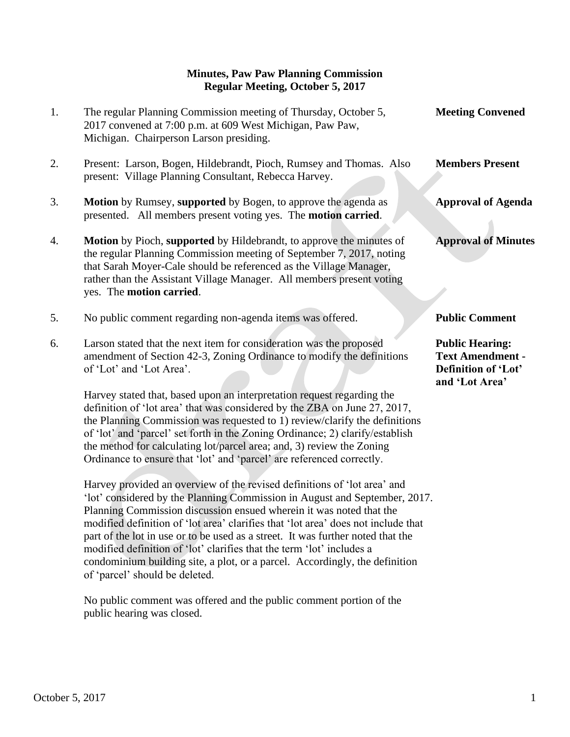## **Minutes, Paw Paw Planning Commission Regular Meeting, October 5, 2017**

1. The regular Planning Commission meeting of Thursday, October 5, **Meeting Convened** 2017 convened at 7:00 p.m. at 609 West Michigan, Paw Paw, Michigan. Chairperson Larson presiding. 2. Present: Larson, Bogen, Hildebrandt, Pioch, Rumsey and Thomas. Also **Members Present** present: Village Planning Consultant, Rebecca Harvey. 3. **Motion** by Rumsey, **supported** by Bogen, to approve the agenda as **Approval of Agenda** presented. All members present voting yes. The **motion carried**. 4. **Motion** by Pioch, **supported** by Hildebrandt, to approve the minutes of **Approval of Minutes** the regular Planning Commission meeting of September 7, 2017, noting that Sarah Moyer-Cale should be referenced as the Village Manager, rather than the Assistant Village Manager. All members present voting yes. The **motion carried**. 5. No public comment regarding non-agenda items was offered. **Public Comment** 6. Larson stated that the next item for consideration was the proposed **Public Hearing:** amendment of Section 42-3, Zoning Ordinance to modify the definitions **Text Amendment**  of 'Lot' and 'Lot Area'. **Definition of 'Lot' and 'Lot Area'** Harvey stated that, based upon an interpretation request regarding the definition of 'lot area' that was considered by the ZBA on June 27, 2017, the Planning Commission was requested to 1) review/clarify the definitions of 'lot' and 'parcel' set forth in the Zoning Ordinance; 2) clarify/establish the method for calculating lot/parcel area; and, 3) review the Zoning Ordinance to ensure that 'lot' and 'parcel' are referenced correctly.

 Harvey provided an overview of the revised definitions of 'lot area' and 'lot' considered by the Planning Commission in August and September, 2017. Planning Commission discussion ensued wherein it was noted that the modified definition of 'lot area' clarifies that 'lot area' does not include that part of the lot in use or to be used as a street. It was further noted that the modified definition of 'lot' clarifies that the term 'lot' includes a condominium building site, a plot, or a parcel. Accordingly, the definition of 'parcel' should be deleted.

 No public comment was offered and the public comment portion of the public hearing was closed.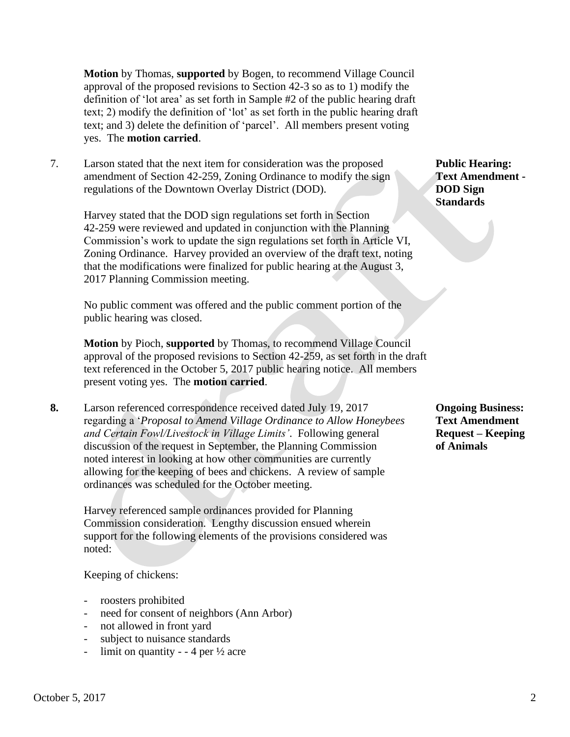**Motion** by Thomas, **supported** by Bogen, to recommend Village Council approval of the proposed revisions to Section 42-3 so as to 1) modify the definition of 'lot area' as set forth in Sample #2 of the public hearing draft text; 2) modify the definition of 'lot' as set forth in the public hearing draft text; and 3) delete the definition of 'parcel'. All members present voting yes. The **motion carried**.

7. Larson stated that the next item for consideration was the proposed **Public Hearing:** amendment of Section 42-259, Zoning Ordinance to modify the sign **Text Amendment**  regulations of the Downtown Overlay District (DOD). **DOD Sign** 

 Harvey stated that the DOD sign regulations set forth in Section 42-259 were reviewed and updated in conjunction with the Planning Commission's work to update the sign regulations set forth in Article VI, Zoning Ordinance. Harvey provided an overview of the draft text, noting that the modifications were finalized for public hearing at the August 3, 2017 Planning Commission meeting.

 No public comment was offered and the public comment portion of the public hearing was closed.

**Motion** by Pioch, **supported** by Thomas, to recommend Village Council approval of the proposed revisions to Section 42-259, as set forth in the draft text referenced in the October 5, 2017 public hearing notice. All members present voting yes. The **motion carried**.

**8.** Larson referenced correspondence received dated July 19, 2017 **Ongoing Business:** regarding a '*Proposal to Amend Village Ordinance to Allow Honeybees* **Text Amendment** *and Certain Fowl/Livestock in Village Limits'.* Following general **Request – Keeping** discussion of the request in September, the Planning Commission **of Animals** noted interest in looking at how other communities are currently allowing for the keeping of bees and chickens. A review of sample ordinances was scheduled for the October meeting.

 Harvey referenced sample ordinances provided for Planning Commission consideration. Lengthy discussion ensued wherein support for the following elements of the provisions considered was noted:

## Keeping of chickens:

- roosters prohibited
- need for consent of neighbors (Ann Arbor)
- not allowed in front yard
- subject to nuisance standards
- limit on quantity - 4 per  $\frac{1}{2}$  acre

## **Standards**